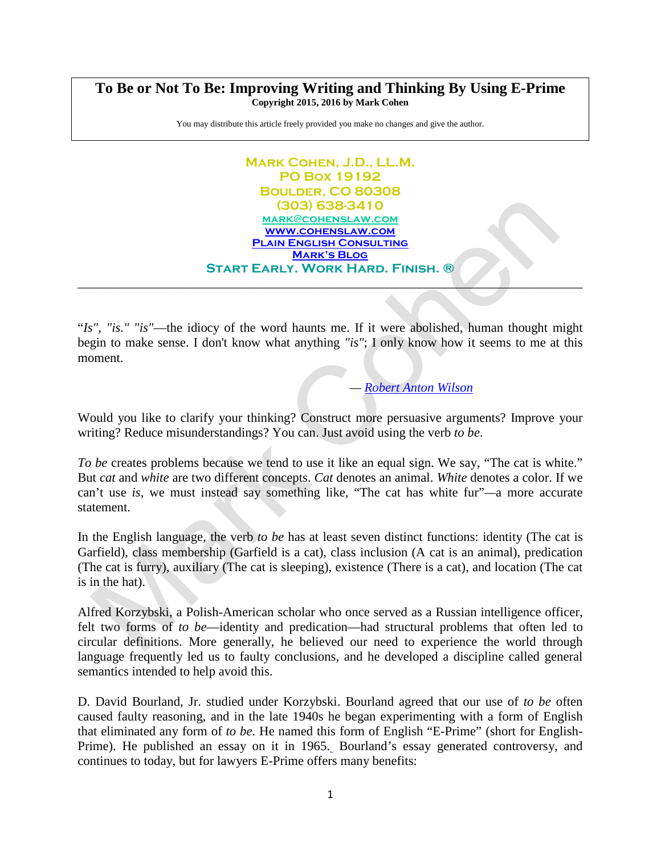## **To Be or Not To Be: Improving Writing and Thinking By Using E-Prime Copyright 2015, 2016 by Mark Cohen**

You may distribute this article freely provided you make no changes and give the author.

## **Mark Cohen, J.D., LL.M. PO Box 19192 Boulder, CO 80308 (303) 638-3410 [mark@cohenslaw.com](mailto:mark@cohenslaw.com) [www.cohenslaw.com](http://www.cohenslaw.com/) [Plain English Consulting](http://www.cohenslaw.com/areasofpractice/plainenglishconsulting.html) [Mark's Blog](http://www.cohenslaw.com/marksblog.html) Start Early. Work Hard. Finish. ®**

"*Is", "is." "is"*—the idiocy of the word haunts me. If it were abolished, human thought might begin to make sense. I don't know what anything *"is"*; I only know how it seems to me at this moment.

\_\_\_\_\_\_\_\_\_\_\_\_\_\_\_\_\_\_\_\_\_\_\_\_\_\_\_\_\_\_\_\_\_\_\_\_\_\_\_\_\_\_\_\_\_\_\_\_\_\_\_\_\_\_\_\_\_\_\_\_\_\_\_\_\_\_\_\_\_\_\_\_\_\_\_\_\_\_

*— [Robert Anton Wilson](https://en.wikipedia.org/wiki/Robert_Anton_Wilson)*

Would you like to clarify your thinking? Construct more persuasive arguments? Improve your writing? Reduce misunderstandings? You can. Just avoid using the verb *to be*.

*To be* creates problems because we tend to use it like an equal sign. We say, "The cat is white." But *cat* and *white* are two different concepts. *Cat* denotes an animal. *White* denotes a color. If we can't use *is*, we must instead say something like, "The cat has white fur"*—*a more accurate statement.

In the English language, the verb *to be* has at least seven distinct functions: identity (The cat is Garfield), class membership (Garfield is a cat), class inclusion (A cat is an animal), predication (The cat is furry), auxiliary (The cat is sleeping), existence (There is a cat), and location (The cat is in the hat).

Alfred Korzybski, a Polish-American scholar who once served as a Russian intelligence officer, felt two forms of *to be*—identity and predication—had structural problems that often led to circular definitions. More generally, he believed our need to experience the world through language frequently led us to faulty conclusions, and he developed a discipline called general semantics intended to help avoid this.

D. David Bourland, Jr. studied under Korzybski. Bourland agreed that our use of *to be* often caused faulty reasoning, and in the late 1940s he began experimenting with a form of English that eliminated any form of *to be*. He named this form of English "E-Prime" (short for English-Prime). He published an essay on it in 1965[.](http://www.cohenslaw.com/blog/116338/18812/#_edn3) Bourland's essay generated controversy, and continues to today, but for lawyers E-Prime offers many benefits: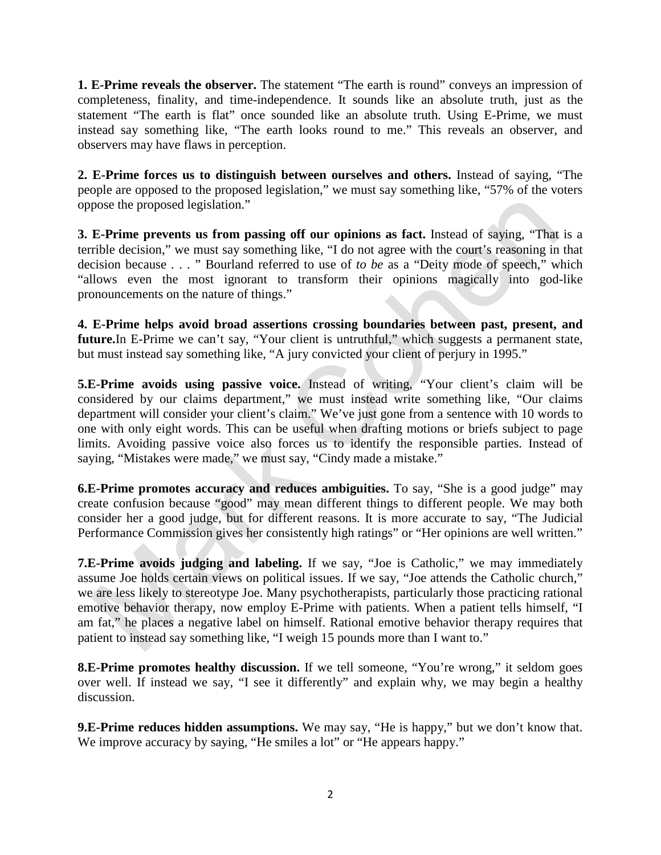**1. E-Prime reveals the observer.** The statement "The earth is round" conveys an impression of completeness, finality, and time-independence. It sounds like an absolute truth, just as the statement "The earth is flat" once sounded like an absolute truth. Using E-Prime, we must instead say something like, "The earth looks round to me." This reveals an observer, and observers may have flaws in perception.

**2. E-Prime forces us to distinguish between ourselves and others.** Instead of saying, "The people are opposed to the proposed legislation," we must say something like, "57% of the voters oppose the proposed legislation."

**3. E-Prime prevents us from passing off our opinions as fact.** Instead of saying, "That is a terrible decision," we must say something like, "I do not agree with the court's reasoning in that decision because . . . " Bourland referred to use of *to be* as a "Deity mode of speech," which "allows even the most ignorant to transform their opinions magically into god-like pronouncements on the nature of things."

**4. E-Prime helps avoid broad assertions crossing boundaries between past, present, and**  future.In E-Prime we can't say, "Your client is untruthful," which suggests a permanent state, but must instead say something like, "A jury convicted your client of perjury in 1995."

**5.E-Prime avoids using passive voice.** Instead of writing, "Your client's claim will be considered by our claims department," we must instead write something like, "Our claims department will consider your client's claim." We've just gone from a sentence with 10 words to one with only eight words. This can be useful when drafting motions or briefs subject to page limits. Avoiding passive voice also forces us to identify the responsible parties. Instead of saying, "Mistakes were made," we must say, "Cindy made a mistake."

**6.E-Prime promotes accuracy and reduces ambiguities.** To say, "She is a good judge" may create confusion because "good" may mean different things to different people. We may both consider her a good judge, but for different reasons. It is more accurate to say, "The Judicial Performance Commission gives her consistently high ratings" or "Her opinions are well written."

**7.E-Prime avoids judging and labeling.** If we say, "Joe is Catholic," we may immediately assume Joe holds certain views on political issues. If we say, "Joe attends the Catholic church," we are less likely to stereotype Joe. Many psychotherapists, particularly those practicing rational emotive behavior therapy, now employ E-Prime with patients. When a patient tells himself, "I am fat," he places a negative label on himself. Rational emotive behavior therapy requires that patient to instead say something like, "I weigh 15 pounds more than I want to."

**8.E-Prime promotes healthy discussion.** If we tell someone, "You're wrong," it seldom goes over well. If instead we say, "I see it differently" and explain why, we may begin a healthy discussion.

**9.E-Prime reduces hidden assumptions.** We may say, "He is happy," but we don't know that. We improve accuracy by saying, "He smiles a lot" or "He appears happy."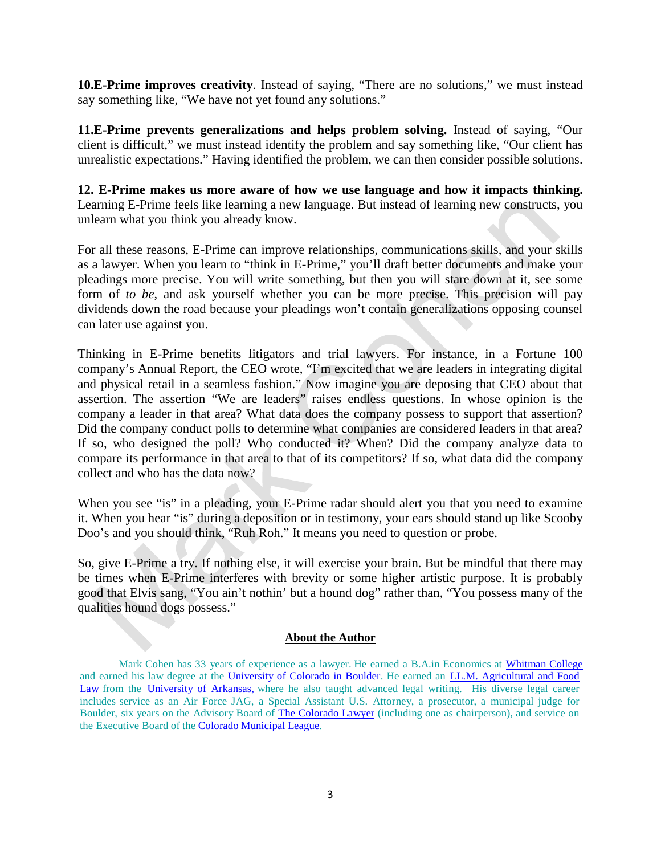**10.E-Prime improves creativity**. Instead of saying, "There are no solutions," we must instead say something like, "We have not yet found any solutions."

**11.E-Prime prevents generalizations and helps problem solving.** Instead of saying, "Our client is difficult," we must instead identify the problem and say something like, "Our client has unrealistic expectations." Having identified the problem, we can then consider possible solutions.

**12. E-Prime makes us more aware of how we use language and how it impacts thinking.**  Learning E-Prime feels like learning a new language. But instead of learning new constructs, you unlearn what you think you already know.

For all these reasons, E-Prime can improve relationships, communications skills, and your skills as a lawyer. When you learn to "think in E-Prime," you'll draft better documents and make your pleadings more precise. You will write something, but then you will stare down at it, see some form of *to be*, and ask yourself whether you can be more precise. This precision will pay dividends down the road because your pleadings won't contain generalizations opposing counsel can later use against you.

Thinking in E-Prime benefits litigators and trial lawyers. For instance, in a Fortune 100 company's Annual Report, the CEO wrote, "I'm excited that we are leaders in integrating digital and physical retail in a seamless fashion." Now imagine you are deposing that CEO about that assertion. The assertion "We are leaders" raises endless questions. In whose opinion is the company a leader in that area? What data does the company possess to support that assertion? Did the company conduct polls to determine what companies are considered leaders in that area? If so, who designed the poll? Who conducted it? When? Did the company analyze data to compare its performance in that area to that of its competitors? If so, what data did the company collect and who has the data now?

When you see "is" in a pleading, your E-Prime radar should alert you that you need to examine it. When you hear "is" during a deposition or in testimony, your ears should stand up like Scooby Doo's and you should think, "Ruh Roh." It means you need to question or probe.

So, give E-Prime a try. If nothing else, it will exercise your brain. But be mindful that there may be times when E-Prime interferes with brevity or some higher artistic purpose. It is probably good that Elvis sang, "You ain't nothin' but a hound dog" rather than, "You possess many of the qualities hound dogs possess."

## **About the Author**

Mark Cohen has 33 years of experience as a lawyer. He earned a B.A.in Economics at [Whitman](https://www.whitman.edu/) College and earned his law degree at the [University](http://www.colorado.edu/law/) of Colorado in Boulder. He earned an [LL.M. Agricultural](http://law.uark.edu/academics/llm/) and Food [Law](http://law.uark.edu/academics/llm/) from the [University](http://law.uark.edu/) of Arkansas, where he also taught advanced legal writing. His diverse legal career includes service as an Air Force JAG, a Special Assistant U.S. Attorney, a prosecutor, a municipal judge for Boulder, six years on the Advisory Board of The [Colorado](http://www.cobar.org/index.cfm/ID/20017/dptcl/The-Colorado-Lawyer/) Lawyer (including one as chairperson), and service on the Executive Board of the Colorado [Municipal](https://www.cml.org/) League.